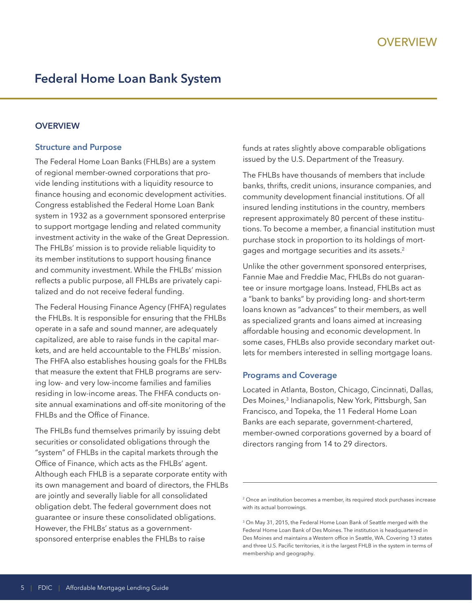# **Federal Home Loan Bank System**

# **OVERVIEW**

#### **Structure and Purpose**

The Federal Home Loan Banks (FHLBs) are a system of regional member-owned corporations that provide lending institutions with a liquidity resource to finance housing and economic development activities. Congress established the Federal Home Loan Bank system in 1932 as a government sponsored enterprise to support mortgage lending and related community investment activity in the wake of the Great Depression. The FHLBs' mission is to provide reliable liquidity to its member institutions to support housing finance and community investment. While the FHLBs' mission reflects a public purpose, all FHLBs are privately capitalized and do not receive federal funding.

The Federal Housing Finance Agency (FHFA) regulates the FHLBs. It is responsible for ensuring that the FHLBs operate in a safe and sound manner, are adequately capitalized, are able to raise funds in the capital markets, and are held accountable to the FHLBs' mission. The FHFA also establishes housing goals for the FHLBs that measure the extent that FHLB programs are serving low- and very low-income families and families residing in low-income areas. The FHFA conducts onsite annual examinations and off-site monitoring of the FHLBs and the Office of Finance.

The FHLBs fund themselves primarily by issuing debt securities or consolidated obligations through the "system" of FHLBs in the capital markets through the Office of Finance, which acts as the FHLBs' agent. Although each FHLB is a separate corporate entity with its own management and board of directors, the FHLBs are jointly and severally liable for all consolidated obligation debt. The federal government does not guarantee or insure these consolidated obligations. However, the FHLBs' status as a governmentsponsored enterprise enables the FHLBs to raise

funds at rates slightly above comparable obligations issued by the U.S. Department of the Treasury.

The FHLBs have thousands of members that include banks, thrifts, credit unions, insurance companies, and community development financial institutions. Of all insured lending institutions in the country, members represent approximately 80 percent of these institutions. To become a member, a financial institution must purchase stock in proportion to its holdings of mortgages and mortgage securities and its assets.2

Unlike the other government sponsored enterprises, Fannie Mae and Freddie Mac, FHLBs do not guarantee or insure mortgage loans. Instead, FHLBs act as a "bank to banks" by providing long- and short-term loans known as "advances" to their members, as well as specialized grants and loans aimed at increasing affordable housing and economic development. In some cases, FHLBs also provide secondary market outlets for members interested in selling mortgage loans.

#### **Programs and Coverage**

Located in Atlanta, Boston, Chicago, Cincinnati, Dallas, Des Moines,<sup>3</sup> Indianapolis, New York, Pittsburgh, San Francisco, and Topeka, the 11 Federal Home Loan Banks are each separate, government-chartered, member-owned corporations governed by a board of directors ranging from 14 to 29 directors.

<sup>&</sup>lt;sup>2</sup> Once an institution becomes a member, its required stock purchases increase with its actual borrowings.

<sup>3</sup> On May 31, 2015, the Federal Home Loan Bank of Seattle merged with the Federal Home Loan Bank of Des Moines. The institution is headquartered in Des Moines and maintains a Western office in Seattle, WA. Covering 13 states and three U.S. Pacific territories, it is the largest FHLB in the system in terms of membership and geography.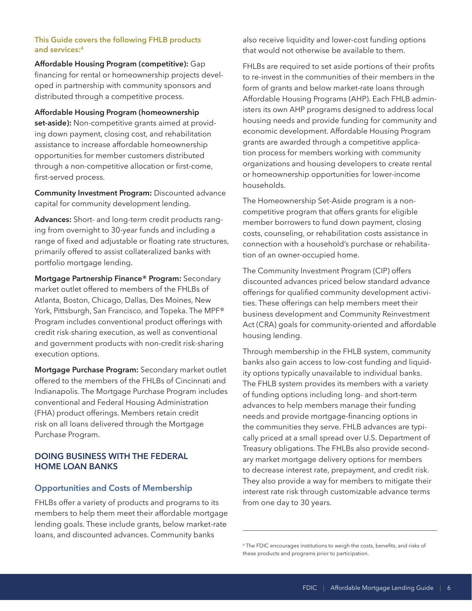#### **This Guide covers the following FHLB products and services:4**

**Affordable Housing Program (competitive):** Gap financing for rental or homeownership projects developed in partnership with community sponsors and distributed through a competitive process.

**Affordable Housing Program (homeownership set-aside):** Non-competitive grants aimed at providing down payment, closing cost, and rehabilitation assistance to increase affordable homeownership opportunities for member customers distributed through a non-competitive allocation or first-come, first-served process.

**Community Investment Program:** Discounted advance capital for community development lending.

**Advances:** Short- and long-term credit products ranging from overnight to 30-year funds and including a range of fixed and adjustable or floating rate structures, primarily offered to assist collateralized banks with portfolio mortgage lending.

**Mortgage Partnership Finance® Program:** Secondary market outlet offered to members of the FHLBs of Atlanta, Boston, Chicago, Dallas, Des Moines, New York, Pittsburgh, San Francisco, and Topeka. The MPF® Program includes conventional product offerings with credit risk-sharing execution, as well as conventional and government products with non-credit risk-sharing execution options.

**Mortgage Purchase Program:** Secondary market outlet offered to the members of the FHLBs of Cincinnati and Indianapolis. The Mortgage Purchase Program includes conventional and Federal Housing Administration (FHA) product offerings. Members retain credit risk on all loans delivered through the Mortgage Purchase Program.

# **DOING BUSINESS WITH THE FEDERAL HOME LOAN BANKS**

# **Opportunities and Costs of Membership**

FHLBs offer a variety of products and programs to its members to help them meet their affordable mortgage lending goals. These include grants, below market-rate loans, and discounted advances. Community banks

also receive liquidity and lower-cost funding options that would not otherwise be available to them.

FHLBs are required to set aside portions of their profits to re-invest in the communities of their members in the form of grants and below market-rate loans through Affordable Housing Programs (AHP). Each FHLB administers its own AHP programs designed to address local housing needs and provide funding for community and economic development. Affordable Housing Program grants are awarded through a competitive application process for members working with community organizations and housing developers to create rental or homeownership opportunities for lower-income households.

The Homeownership Set-Aside program is a noncompetitive program that offers grants for eligible member borrowers to fund down payment, closing costs, counseling, or rehabilitation costs assistance in connection with a household's purchase or rehabilitation of an owner-occupied home.

The Community Investment Program (CIP) offers discounted advances priced below standard advance offerings for qualified community development activities. These offerings can help members meet their business development and Community Reinvestment Act (CRA) goals for community-oriented and affordable housing lending.

Through membership in the FHLB system, community banks also gain access to low-cost funding and liquidity options typically unavailable to individual banks. The FHLB system provides its members with a variety of funding options including long- and short-term advances to help members manage their funding needs and provide mortgage-financing options in the communities they serve. FHLB advances are typically priced at a small spread over U.S. Department of Treasury obligations. The FHLBs also provide secondary market mortgage delivery options for members to decrease interest rate, prepayment, and credit risk. They also provide a way for members to mitigate their interest rate risk through customizable advance terms from one day to 30 years.

<sup>4</sup> The FDIC encourages institutions to weigh the costs, benefits, and risks of these products and programs prior to participation.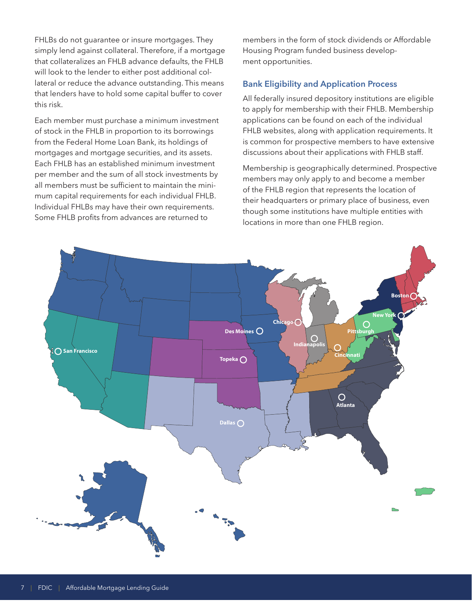FHLBs do not guarantee or insure mortgages. They simply lend against collateral. Therefore, if a mortgage that collateralizes an FHLB advance defaults, the FHLB will look to the lender to either post additional collateral or reduce the advance outstanding. This means that lenders have to hold some capital buffer to cover this risk.

Each member must purchase a minimum investment of stock in the FHLB in proportion to its borrowings from the Federal Home Loan Bank, its holdings of mortgages and mortgage securities, and its assets. Each FHLB has an established minimum investment per member and the sum of all stock investments by all members must be sufficient to maintain the minimum capital requirements for each individual FHLB. Individual FHLBs may have their own requirements. Some FHLB profits from advances are returned to

members in the form of stock dividends or Affordable Housing Program funded business development opportunities.

# **Bank Eligibility and Application Process**

All federally insured depository institutions are eligible to apply for membership with their FHLB. Membership applications can be found on each of the individual FHLB websites, along with application requirements. It is common for prospective members to have extensive discussions about their applications with FHLB staff.

Membership is geographically determined. Prospective members may only apply to and become a member of the FHLB region that represents the location of their headquarters or primary place of business, even though some institutions have multiple entities with locations in more than one FHLB region.